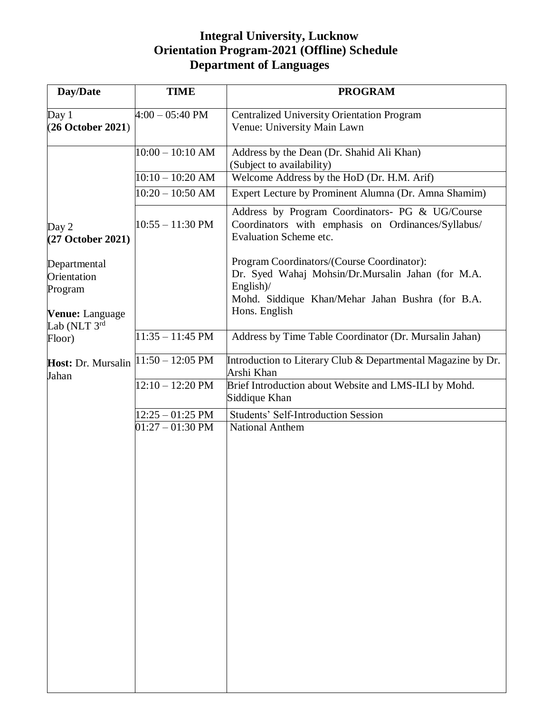## **Integral University, Lucknow Orientation Program-2021 (Offline) Schedule Department of Languages**

| Day/Date                    | <b>TIME</b>               | <b>PROGRAM</b>                                                                                                                         |
|-----------------------------|---------------------------|----------------------------------------------------------------------------------------------------------------------------------------|
| Day $1$                     | $4:00 - 05:40 \text{ PM}$ | <b>Centralized University Orientation Program</b>                                                                                      |
| (26 October 2021)           |                           | Venue: University Main Lawn                                                                                                            |
|                             |                           |                                                                                                                                        |
|                             | $10:00 - 10:10$ AM        | Address by the Dean (Dr. Shahid Ali Khan)<br>(Subject to availability)                                                                 |
|                             | $10:10 - 10:20$ AM        | Welcome Address by the HoD (Dr. H.M. Arif)                                                                                             |
|                             | $10:20 - 10:50$ AM        | Expert Lecture by Prominent Alumna (Dr. Amna Shamim)                                                                                   |
| Day 2<br>(27 October 2021)  | $10:55 - 11:30$ PM        | Address by Program Coordinators- PG & UG/Course<br>Coordinators with emphasis on Ordinances/Syllabus/<br><b>Evaluation Scheme etc.</b> |
| Departmental                |                           | Program Coordinators/(Course Coordinator):                                                                                             |
| Orientation                 |                           | Dr. Syed Wahaj Mohsin/Dr.Mursalin Jahan (for M.A.                                                                                      |
| Program                     |                           | English)/                                                                                                                              |
| Venue: Language             |                           | Mohd. Siddique Khan/Mehar Jahan Bushra (for B.A.<br>Hons. English                                                                      |
| Lab (NLT 3rd                | $11:35 - 11:45$ PM        | Address by Time Table Coordinator (Dr. Mursalin Jahan)                                                                                 |
| Floor)                      |                           |                                                                                                                                        |
| Host: Dr. Mursalin<br>Jahan | $11:50 - 12:05$ PM        | Introduction to Literary Club & Departmental Magazine by Dr.<br>Arshi Khan                                                             |
|                             | $12:10 - 12:20$ PM        | Brief Introduction about Website and LMS-ILI by Mohd.<br>Siddique Khan                                                                 |
|                             | $12:25 - 01:25$ PM        | <b>Students' Self-Introduction Session</b>                                                                                             |
|                             | $01:27 - 01:30$ PM        | <b>National Anthem</b>                                                                                                                 |
|                             |                           |                                                                                                                                        |
|                             |                           |                                                                                                                                        |
|                             |                           |                                                                                                                                        |
|                             |                           |                                                                                                                                        |
|                             |                           |                                                                                                                                        |
|                             |                           |                                                                                                                                        |
|                             |                           |                                                                                                                                        |
|                             |                           |                                                                                                                                        |
|                             |                           |                                                                                                                                        |
|                             |                           |                                                                                                                                        |
|                             |                           |                                                                                                                                        |
|                             |                           |                                                                                                                                        |
|                             |                           |                                                                                                                                        |
|                             |                           |                                                                                                                                        |
|                             |                           |                                                                                                                                        |
|                             |                           |                                                                                                                                        |
|                             |                           |                                                                                                                                        |